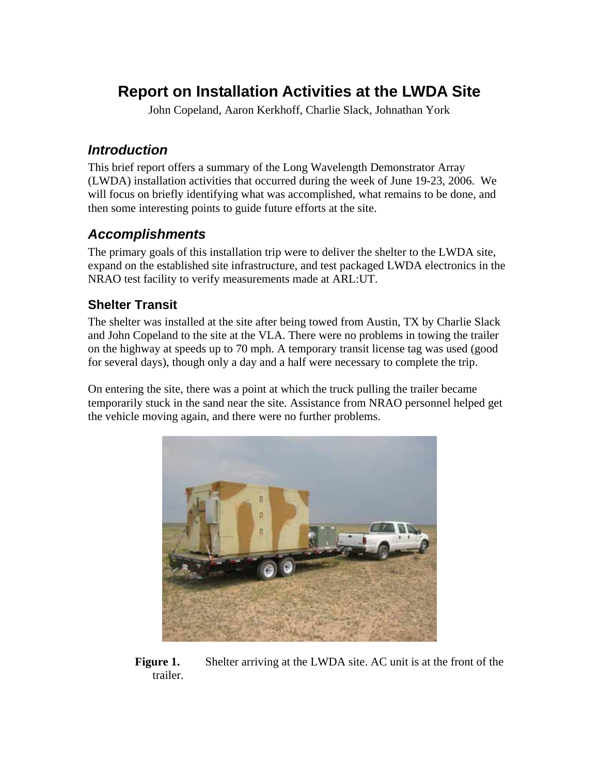# **Report on Installation Activities at the LWDA Site**

John Copeland, Aaron Kerkhoff, Charlie Slack, Johnathan York

# *Introduction*

This brief report offers a summary of the Long Wavelength Demonstrator Array (LWDA) installation activities that occurred during the week of June 19-23, 2006. We will focus on briefly identifying what was accomplished, what remains to be done, and then some interesting points to guide future efforts at the site.

## *Accomplishments*

The primary goals of this installation trip were to deliver the shelter to the LWDA site, expand on the established site infrastructure, and test packaged LWDA electronics in the NRAO test facility to verify measurements made at ARL:UT.

## **Shelter Transit**

The shelter was installed at the site after being towed from Austin, TX by Charlie Slack and John Copeland to the site at the VLA. There were no problems in towing the trailer on the highway at speeds up to 70 mph. A temporary transit license tag was used (good for several days), though only a day and a half were necessary to complete the trip.

On entering the site, there was a point at which the truck pulling the trailer became temporarily stuck in the sand near the site. Assistance from NRAO personnel helped get the vehicle moving again, and there were no further problems.



**Figure 1.** Shelter arriving at the LWDA site. AC unit is at the front of the trailer.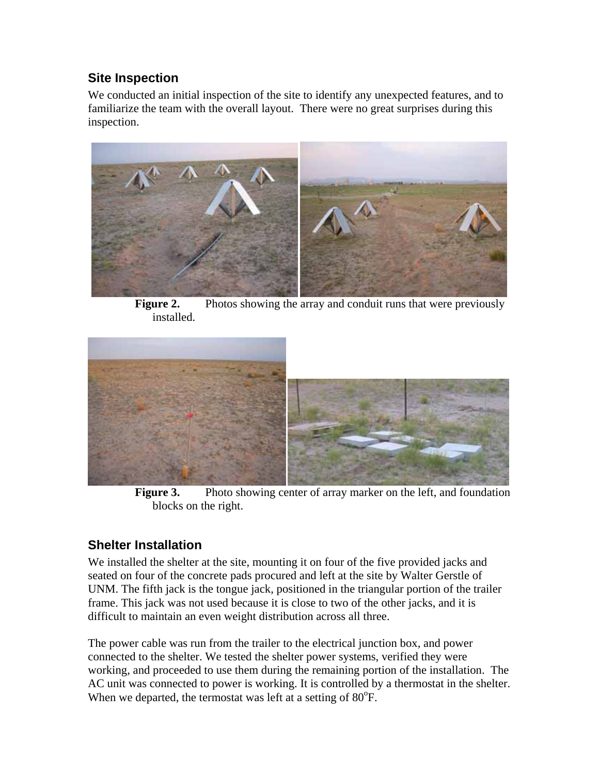### **Site Inspection**

We conducted an initial inspection of the site to identify any unexpected features, and to familiarize the team with the overall layout. There were no great surprises during this inspection.



**Figure 2.** Photos showing the array and conduit runs that were previously installed.



**Figure 3.** Photo showing center of array marker on the left, and foundation blocks on the right.

# **Shelter Installation**

We installed the shelter at the site, mounting it on four of the five provided jacks and seated on four of the concrete pads procured and left at the site by Walter Gerstle of UNM. The fifth jack is the tongue jack, positioned in the triangular portion of the trailer frame. This jack was not used because it is close to two of the other jacks, and it is difficult to maintain an even weight distribution across all three.

The power cable was run from the trailer to the electrical junction box, and power connected to the shelter. We tested the shelter power systems, verified they were working, and proceeded to use them during the remaining portion of the installation. The AC unit was connected to power is working. It is controlled by a thermostat in the shelter. When we departed, the termostat was left at a setting of  $80^{\circ}$ F.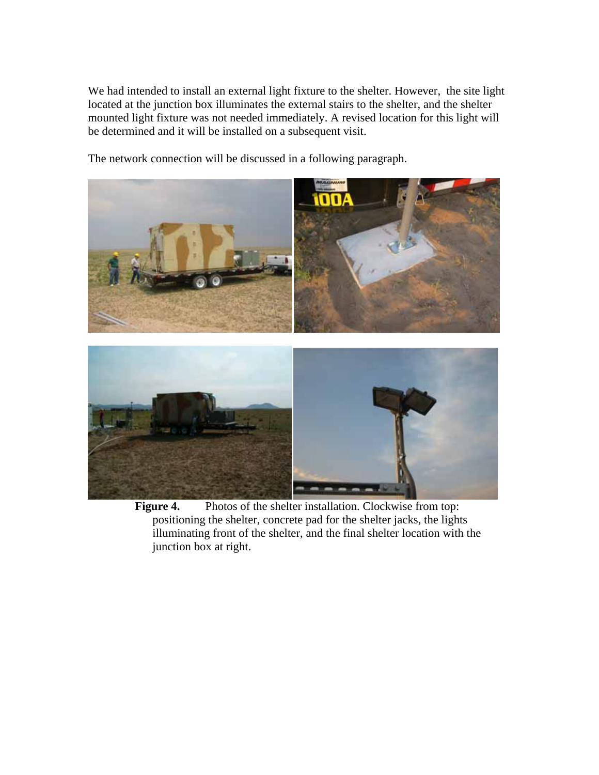We had intended to install an external light fixture to the shelter. However, the site light located at the junction box illuminates the external stairs to the shelter, and the shelter mounted light fixture was not needed immediately. A revised location for this light will be determined and it will be installed on a subsequent visit.

The network connection will be discussed in a following paragraph.



Figure 4. Photos of the shelter installation. Clockwise from top: positioning the shelter, concrete pad for the shelter jacks, the lights illuminating front of the shelter, and the final shelter location with the junction box at right.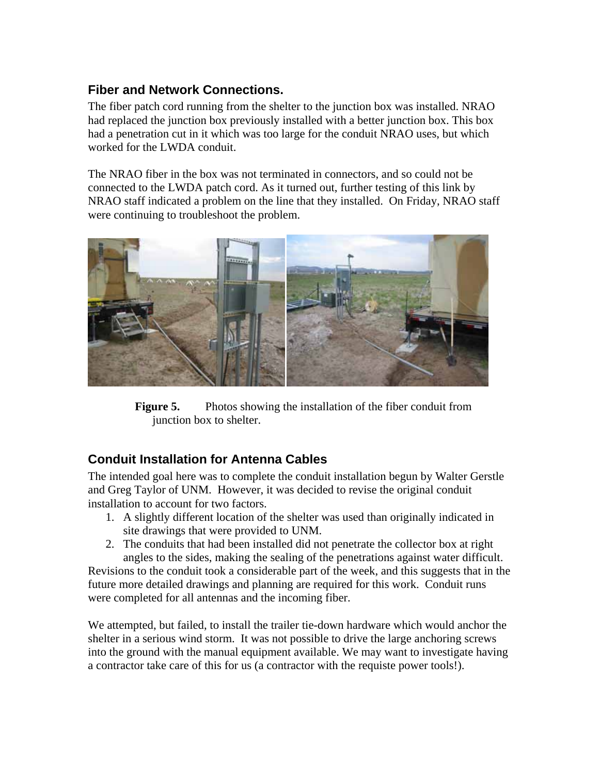## **Fiber and Network Connections.**

The fiber patch cord running from the shelter to the junction box was installed. NRAO had replaced the junction box previously installed with a better junction box. This box had a penetration cut in it which was too large for the conduit NRAO uses, but which worked for the LWDA conduit.

The NRAO fiber in the box was not terminated in connectors, and so could not be connected to the LWDA patch cord. As it turned out, further testing of this link by NRAO staff indicated a problem on the line that they installed. On Friday, NRAO staff were continuing to troubleshoot the problem.



**Figure 5.** Photos showing the installation of the fiber conduit from junction box to shelter.

## **Conduit Installation for Antenna Cables**

The intended goal here was to complete the conduit installation begun by Walter Gerstle and Greg Taylor of UNM. However, it was decided to revise the original conduit installation to account for two factors.

- 1. A slightly different location of the shelter was used than originally indicated in site drawings that were provided to UNM.
- 2. The conduits that had been installed did not penetrate the collector box at right angles to the sides, making the sealing of the penetrations against water difficult.

Revisions to the conduit took a considerable part of the week, and this suggests that in the future more detailed drawings and planning are required for this work. Conduit runs were completed for all antennas and the incoming fiber.

We attempted, but failed, to install the trailer tie-down hardware which would anchor the shelter in a serious wind storm. It was not possible to drive the large anchoring screws into the ground with the manual equipment available. We may want to investigate having a contractor take care of this for us (a contractor with the requiste power tools!).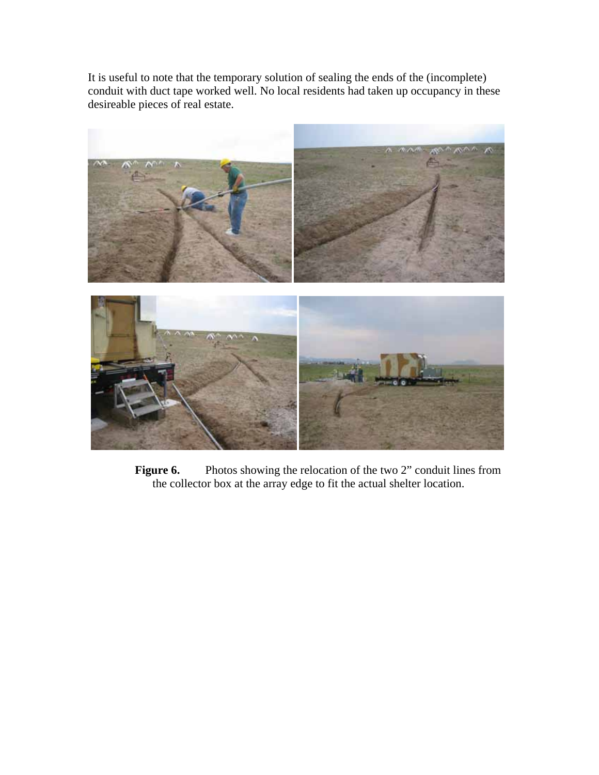It is useful to note that the temporary solution of sealing the ends of the (incomplete) conduit with duct tape worked well. No local residents had taken up occupancy in these desireable pieces of real estate.



**Figure 6.** Photos showing the relocation of the two 2" conduit lines from the collector box at the array edge to fit the actual shelter location.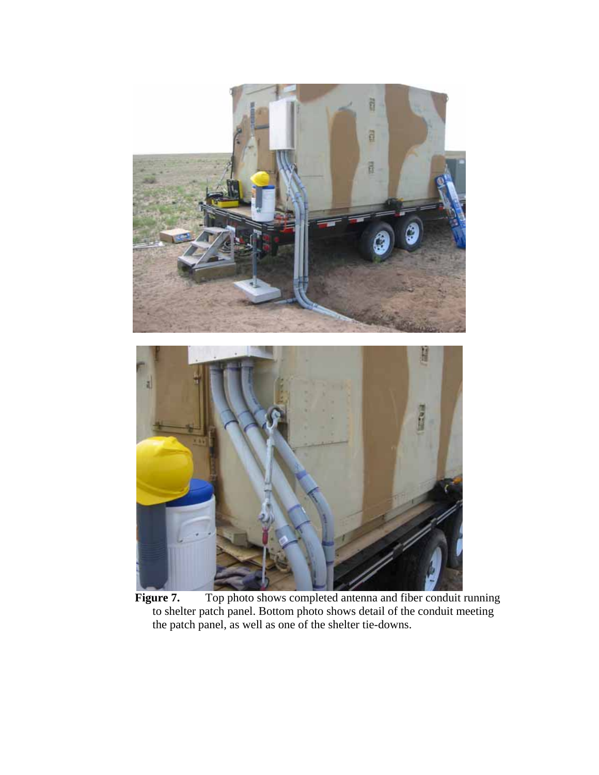

Figure 7. Top photo shows completed antenna and fiber conduit running to shelter patch panel. Bottom photo shows detail of the conduit meeting the patch panel, as well as one of the shelter tie-downs.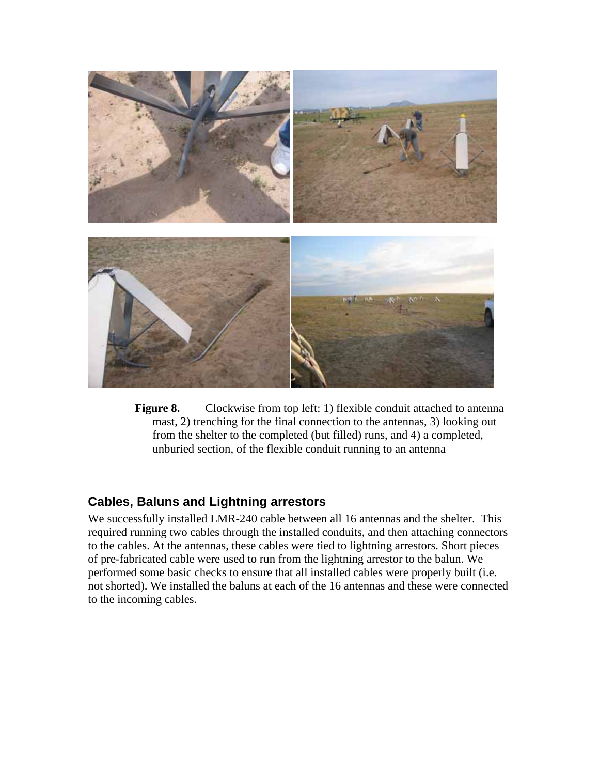

**Figure 8.** Clockwise from top left: 1) flexible conduit attached to antenna mast, 2) trenching for the final connection to the antennas, 3) looking out from the shelter to the completed (but filled) runs, and 4) a completed, unburied section, of the flexible conduit running to an antenna

#### **Cables, Baluns and Lightning arrestors**

We successfully installed LMR-240 cable between all 16 antennas and the shelter. This required running two cables through the installed conduits, and then attaching connectors to the cables. At the antennas, these cables were tied to lightning arrestors. Short pieces of pre-fabricated cable were used to run from the lightning arrestor to the balun. We performed some basic checks to ensure that all installed cables were properly built (i.e. not shorted). We installed the baluns at each of the 16 antennas and these were connected to the incoming cables.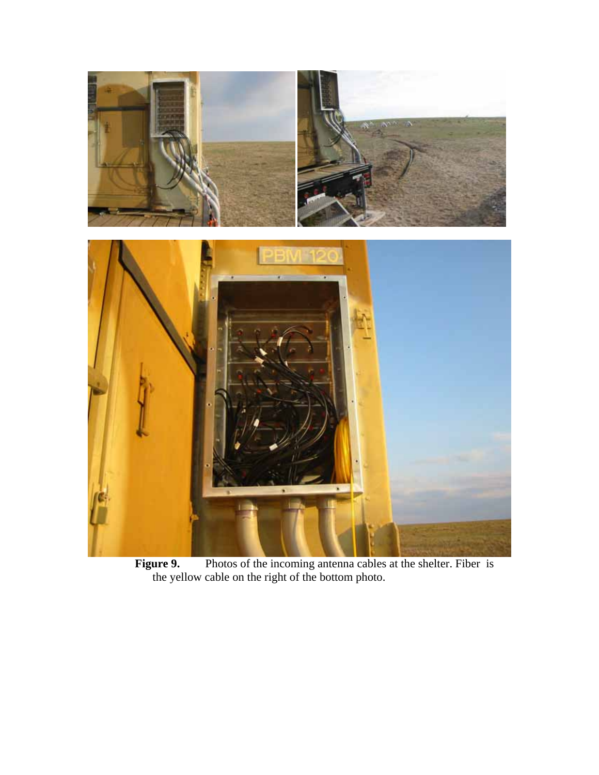

**Figure 9.** Photos of the incoming antenna cables at the shelter. Fiber is the yellow cable on the right of the bottom photo.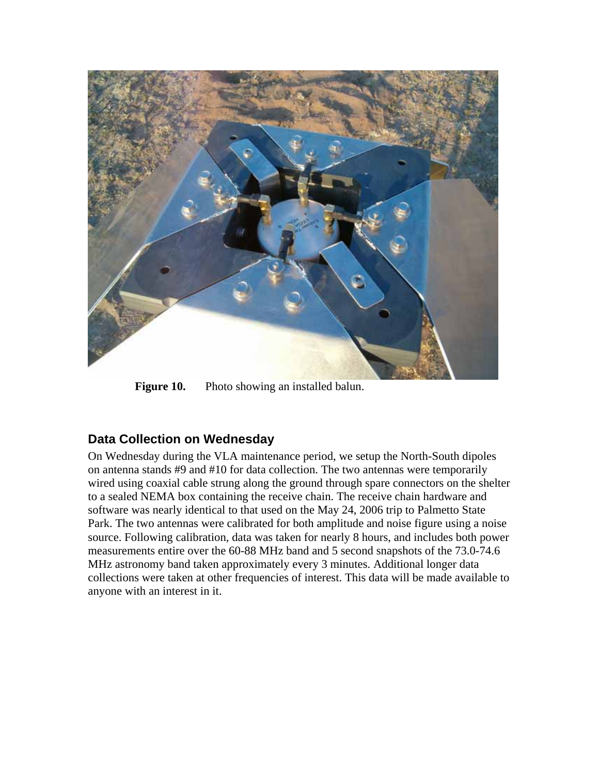

**Figure 10.** Photo showing an installed balun.

#### **Data Collection on Wednesday**

On Wednesday during the VLA maintenance period, we setup the North-South dipoles on antenna stands #9 and #10 for data collection. The two antennas were temporarily wired using coaxial cable strung along the ground through spare connectors on the shelter to a sealed NEMA box containing the receive chain. The receive chain hardware and software was nearly identical to that used on the May 24, 2006 trip to Palmetto State Park. The two antennas were calibrated for both amplitude and noise figure using a noise source. Following calibration, data was taken for nearly 8 hours, and includes both power measurements entire over the 60-88 MHz band and 5 second snapshots of the 73.0-74.6 MHz astronomy band taken approximately every 3 minutes. Additional longer data collections were taken at other frequencies of interest. This data will be made available to anyone with an interest in it.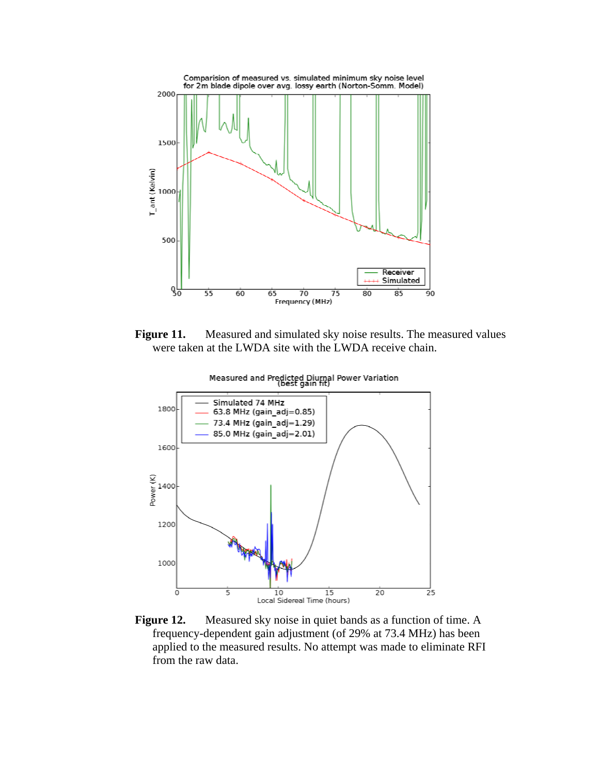

Figure 11. Measured and simulated sky noise results. The measured values were taken at the LWDA site with the LWDA receive chain.



Measured and Predicted Diurnal Power Variation<br>(best gain fit)

**Figure 12.** Measured sky noise in quiet bands as a function of time. A frequency-dependent gain adjustment (of 29% at 73.4 MHz) has been applied to the measured results. No attempt was made to eliminate RFI from the raw data.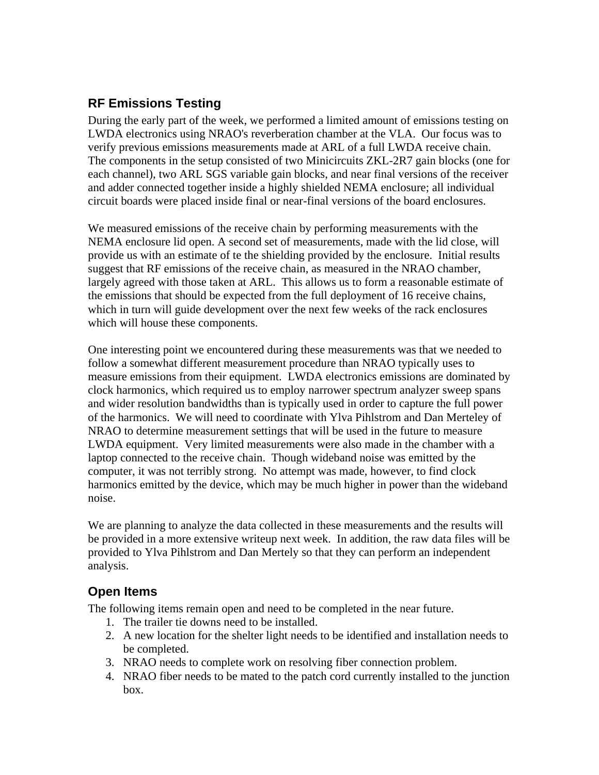## **RF Emissions Testing**

During the early part of the week, we performed a limited amount of emissions testing on LWDA electronics using NRAO's reverberation chamber at the VLA. Our focus was to verify previous emissions measurements made at ARL of a full LWDA receive chain. The components in the setup consisted of two Minicircuits ZKL-2R7 gain blocks (one for each channel), two ARL SGS variable gain blocks, and near final versions of the receiver and adder connected together inside a highly shielded NEMA enclosure; all individual circuit boards were placed inside final or near-final versions of the board enclosures.

We measured emissions of the receive chain by performing measurements with the NEMA enclosure lid open. A second set of measurements, made with the lid close, will provide us with an estimate of te the shielding provided by the enclosure. Initial results suggest that RF emissions of the receive chain, as measured in the NRAO chamber, largely agreed with those taken at ARL. This allows us to form a reasonable estimate of the emissions that should be expected from the full deployment of 16 receive chains, which in turn will guide development over the next few weeks of the rack enclosures which will house these components.

One interesting point we encountered during these measurements was that we needed to follow a somewhat different measurement procedure than NRAO typically uses to measure emissions from their equipment. LWDA electronics emissions are dominated by clock harmonics, which required us to employ narrower spectrum analyzer sweep spans and wider resolution bandwidths than is typically used in order to capture the full power of the harmonics. We will need to coordinate with Ylva Pihlstrom and Dan Merteley of NRAO to determine measurement settings that will be used in the future to measure LWDA equipment. Very limited measurements were also made in the chamber with a laptop connected to the receive chain. Though wideband noise was emitted by the computer, it was not terribly strong. No attempt was made, however, to find clock harmonics emitted by the device, which may be much higher in power than the wideband noise.

We are planning to analyze the data collected in these measurements and the results will be provided in a more extensive writeup next week. In addition, the raw data files will be provided to Ylva Pihlstrom and Dan Mertely so that they can perform an independent analysis.

## **Open Items**

The following items remain open and need to be completed in the near future.

- 1. The trailer tie downs need to be installed.
- 2. A new location for the shelter light needs to be identified and installation needs to be completed.
- 3. NRAO needs to complete work on resolving fiber connection problem.
- 4. NRAO fiber needs to be mated to the patch cord currently installed to the junction box.